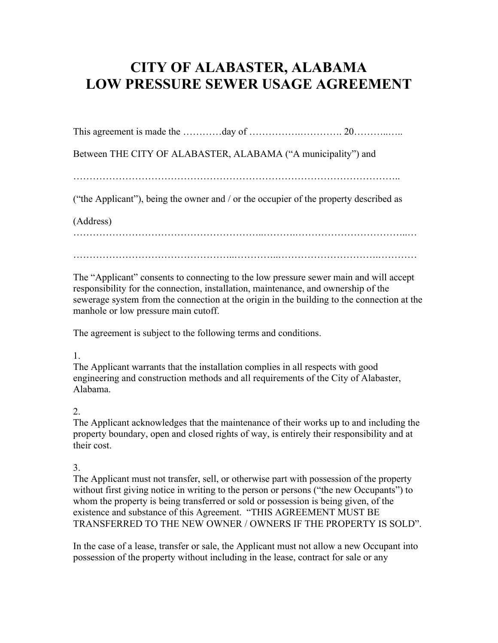# **CITY OF ALABASTER, ALABAMA LOW PRESSURE SEWER USAGE AGREEMENT**

This agreement is made the …………day of …………….…………. 20………..…..

Between THE CITY OF ALABASTER, ALABAMA ("A municipality") and

………………………………………………………………………………………..

("the Applicant"), being the owner and / or the occupier of the property described as

(Address)

…………………………………………………..……….……………………………..…

…………………………………………..…………..………………………….…………

The "Applicant" consents to connecting to the low pressure sewer main and will accept responsibility for the connection, installation, maintenance, and ownership of the sewerage system from the connection at the origin in the building to the connection at the manhole or low pressure main cutoff.

The agreement is subject to the following terms and conditions.

## 1.

The Applicant warrants that the installation complies in all respects with good engineering and construction methods and all requirements of the City of Alabaster, Alabama.

## 2.

The Applicant acknowledges that the maintenance of their works up to and including the property boundary, open and closed rights of way, is entirely their responsibility and at their cost.

## 3.

The Applicant must not transfer, sell, or otherwise part with possession of the property without first giving notice in writing to the person or persons ("the new Occupants") to whom the property is being transferred or sold or possession is being given, of the existence and substance of this Agreement. "THIS AGREEMENT MUST BE TRANSFERRED TO THE NEW OWNER / OWNERS IF THE PROPERTY IS SOLD".

In the case of a lease, transfer or sale, the Applicant must not allow a new Occupant into possession of the property without including in the lease, contract for sale or any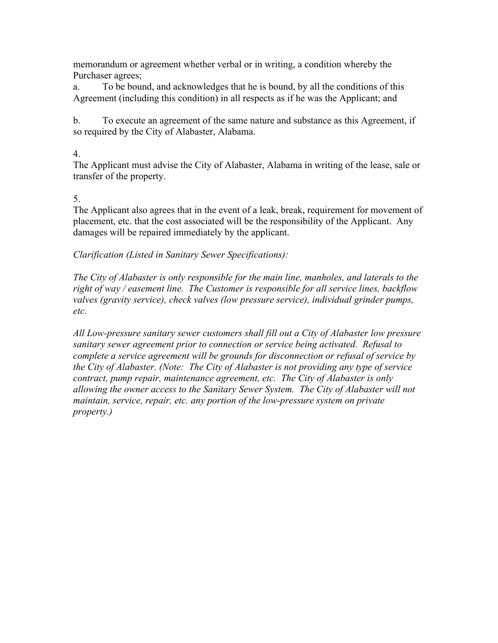memorandum or agreement whether verbal or in writing, a condition whereby the Purchaser agrees;

a. To be bound, and acknowledges that he is bound, by all the conditions of this Agreement (including this condition) in all respects as if he was the Applicant; and

b. To execute an agreement of the same nature and substance as this Agreement, if so required by the City of Alabaster, Alabama.

### 4.

The Applicant must advise the City of Alabaster, Alabama in writing of the lease, sale or transfer of the property.

## 5.

The Applicant also agrees that in the event of a leak, break, requirement for movement of placement, etc. that the cost associated will be the responsibility of the Applicant. Any damages will be repaired immediately by the applicant.

## *Clarification (Listed in Sanitary Sewer Specifications):*

*The City of Alabaster is only responsible for the main line, manholes, and laterals to the right of way / easement line. The Customer is responsible for all service lines, backflow valves (gravity service), check valves (low pressure service), individual grinder pumps, etc.*

*All Low-pressure sanitary sewer customers shall fill out a City of Alabaster low pressure sanitary sewer agreement prior to connection or service being activated. Refusal to complete a service agreement will be grounds for disconnection or refusal of service by the City of Alabaster. (Note: The City of Alabaster is not providing any type of service contract, pump repair, maintenance agreement, etc. The City of Alabaster is only allowing the owner access to the Sanitary Sewer System. The City of Alabaster will not maintain, service, repair, etc. any portion of the low-pressure system on private property.)*